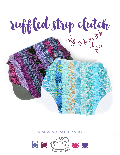

## **a sewing pattern by**

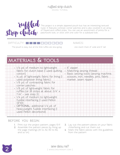sewing tutorial



This project is a simple zippered pouch but has an interesting textural twist. It features contrast corner patches and is also covered in an array of frayed and ruffled strips. You can use an assortment of prints for a patchwork look, or stick with one color for a subdued look.

#### DIFFICULTY: **OFFICULTY**

The pouch is easy, but all the little ruffles are slow-going one clutch that's 8" wide and 6" tall

makes:

# **materials & tools**

| · 1/4 yd. of medium to lightweight<br>fabric for clutch base (I used quilting | · 6 <sup>"</sup> zipper<br>• Matching sewing thread           |
|-------------------------------------------------------------------------------|---------------------------------------------------------------|
| cotton)                                                                       | · Basic sewing tools (sewing machine,                         |
| . 14 yd. of lightweight fabric for lining (I<br>used polyester lining fabric) | scissors, iron, needles, pins, fabric<br>marker, seam ripper) |
| · 1/8 yd. of contrasting fabric for                                           |                                                               |
| corner patches                                                                |                                                               |
| · 1/8 yd. of lightweight fabric for                                           |                                                               |
| ruffles (or 26 strips at about 3/4" x                                         |                                                               |
| $7 - 14"$ – see step 3)                                                       |                                                               |
| · 1/4 yd. of medium to lightweight                                            |                                                               |
| fusible interfacing (I used Pellon                                            |                                                               |
| SF101)                                                                        |                                                               |
| · OPTIONAL: additional 1/4 yd. of                                             |                                                               |
| heavyweight fusible interfacing (I                                            |                                                               |
| used Pellon decorbond)                                                        |                                                               |
|                                                                               |                                                               |

#### **before you begin:**

- **1.** Print out the project pattern, pages 10-11
- **2.** Assemble the pattern pieces by lining up the page markings (A1 to A2, B3 to B4, and so on)
- **3.** Lay out the pattern pieces on your fabric /interfacing and cut them out
- **4.** Mark the fabric pieces with the guidelines from the pattern

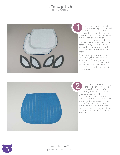.<br>SEWING TUTORIAL



Up first is to apply all of the interfacing ^-^ I wanted my clutch to be super sturdy, so I used a layer of Pellon SF101 to cover the whole clutch, then another layer of Pellon Decorbond centered within the seam allowances. The corner patches just got a bit of SF101 within the seam allowances since you don't want too much bulk there. Up<br>the my<br>sturre Pellon S.<br>clutch, the Pellon De<br>the seam<br>patches ju within the<br>vou don't<br>there.<br>So, deper<br>you want<br>pieces an<br>patch pieces an<br>patch pieces an<br>patch pieces an<br>patch pieces an<br>patch pieces an<br>patch pieces an<br>

So, depending on the thickness you want, you'll want to fuse your layers of interfacing at this point to both of the clutch pieces and four of the corner patch pieces (on the wrong side of the fabric).



Before we can start adding the little ruffles, we need to mark where they're going to go. So at this point, be sure you have the lines from the paper pattern transferred to both of the clutch sides (drawn on the right side of the fabric). The lines are 5/8" apart, and be sure to draw the place ment lines for the corner patches too; these will be helpful during steps 5-8.

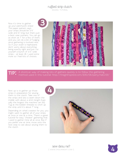sewing tutorial

Now it's time to gather up your patchwork strips! The paper pattern says your strips should be 3/4" wide and 14" long, but that's just a best case scenario. You can go as short at 7" for a few of them, and you can do a bit of fudging since gathering is involved next. So if your stash is haphazard, don't worry about everything being exactly right and just cut yourself a bunch of 3/4" wide strips – at least 26. I used some more so I had lots of choices.



A shortcut way of making lots of gathers quickly is to follow the gathering method used in this tutorial: http://thegirlinspired.com/2010/06/party-hats-101/ **tip:**

Next up is to gather up those strips in preparation for sewing them to the clutch. Take one of the strips and sew a seam down the middle with about a 4mm length (typically the longest the machine can do). Tug at the bobbin threads to cinch up the strip until it's about 7" long.

Depending on what's easiest for you, you might want to gather all of your strips at once or one at a time. There's a great tutorial for easy "cheater" gathering that I used to gather mine all at once. But if you prefer one at time, move onto the next step to see about sewing them to the clutch.





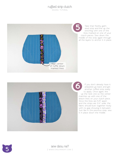.<br>SEWING TUTORIAL



Take that freshly gathered strip and line up the stitching with one of the lines marked on one of your clutch pieces. Sew down the middle of the strip again through all the layers to anchor it in place.



If you don't already have it prepared, go back and get another ruffled strip ready to apply. Once again, line up the next one so the center matches up with one of the drawn lines on your clutch piece. Since the lines are 5/8" apart and the strips are 3/4" wide, the fabric should butt together nicely with no gap showing in between. Just like in the previous step, sew it in place down the middle.



**5** sew desu ne? | www.cholyknight.com |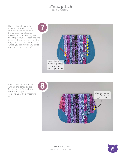.<br>SEWING TUTORIAL

Here's where I got with more strips added. Once you reach the area where the contrast patches are marked, you can actually trim the strip about 1/4" past the line instead of sewing the strip all the way down to the bottom. This is where you can utilize any strips that are shorter than 14".



Aaand here's how it looks with all the strips added. Repeat steps 5-8 with the other side of your clutch so you end up with a matching pair.



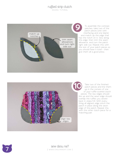.<br>SEWING TUTORIAL



To assemble the contrast patches, take two of the patch pieces (one with interfacing and one blank) and match up the edge that has the notch on it. Sew along this edge, then trim the seam allowance, and turn the patch right side out. Repeat this with the rest of your patch pieces so you should have 4 total – then give them all a good press.



Take two of the finished patch pieces and line them up in the corners of one of your ruffle-covered clutch pieces. The raw edges should line up and the sewn edge should overlap the ruffles you sewed back in steps 5-8. With every thing all aligned, edge stitch the patch in place along the sewn edge of the patch. Repeat this with the other clutch piece for a matching pair.

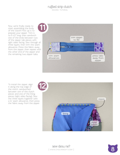sewing tutorial

Now we're finally ready to start assembling the body of the clutch! First up is to prepare your zipper. Trim it to 5 1/2" long, then sandwich one of the ends between two of the zipper tab pieces with right sides facing. Sew through all three layers, then trim the seam allowance. Press the fabric away from the zipper, then repeat with the other end of the zipper and the remaining two zipper tabs.



To install the zipper, align it along the top edge of the clutch, sandwiched between one of the clutch pieces and one of the lining pieces (right sides facing). Sew the three layers together with a ¼" seam allowance, then press the fabric away from the zipper.



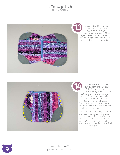.<br>SEWING TUTORIAL



Repeat step 12 with the other side of the zipper, using the remaining clutch piece and lining piece. Once again, press the fabric away from the zipper and you should have something that looks like



To sew the body of the clutch, align the raw edges of the lining and outer clutch with right sides facing outward. Sew the sides and bottom of the clutch with about a 1/8" seam allowance for the first step of the French seam. Trim any frayed bits that are in the seam allowance and turn the clutch wrong side out.

Press the seam you've just sewn, then sew the same seam again, this time with about a 3/8" seam allowance to encase the previous seam. Once again, turn it right side out and press the seam. And that completes your clutch!



**9** sew desu ne?<br>
I WWW.CHOLYKNIGHT.CO | www .cholyknight .com |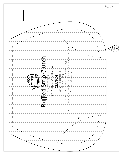